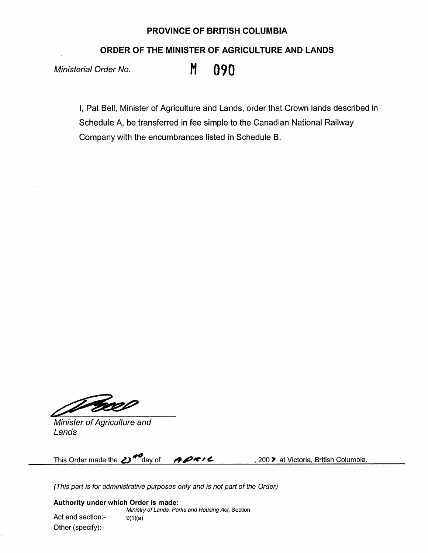## **PROVINCE OF BRITISH COLUMBIA**

**ORDER OF THE MINISTER OF AGRICULTURE AND LANDS** 

Ministerial Order No. **M 090** 

I, Pat Bell, Minister of Agriculture and Lands, order that Crown lands described in Schedule A, be transferred in fee simple to the Canadian National Railway Company with the encumbrances listed in Schedule B.

Gael

Minister of Agriculture and Lands

This Order made the 2<sup>3</sup> day of **900000** , 200 **'** at Victoria, British Columbia.

(This part is for administrative purposes only and is not part of the Order)

**Authority under which Order is made:**  Ministry of Lands, Parks and Housing Act, Section

Act and section:-  $9(1)(a)$ Other (specify):-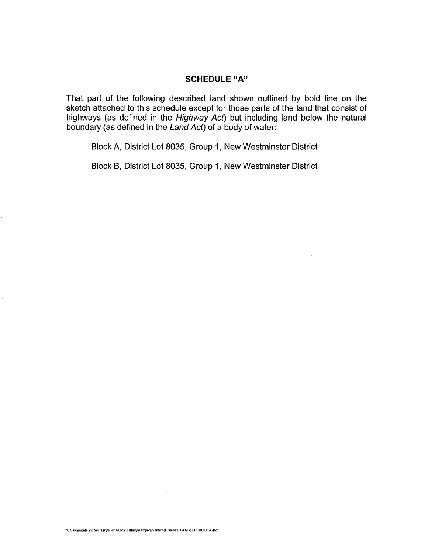## **SCHEDULE "A"**

That part of the following described land shown outlined by bold line on the sketch attached to this schedule except for those parts of the land that consist of highways (as defined in the Highway Act) but including land below the natural boundary (as defined in the Land Act) of a body of water:

Block A, District Lot 8035, Group 1, New Westminster District

Block B, District Lot 8035, Group 1, New Westminster District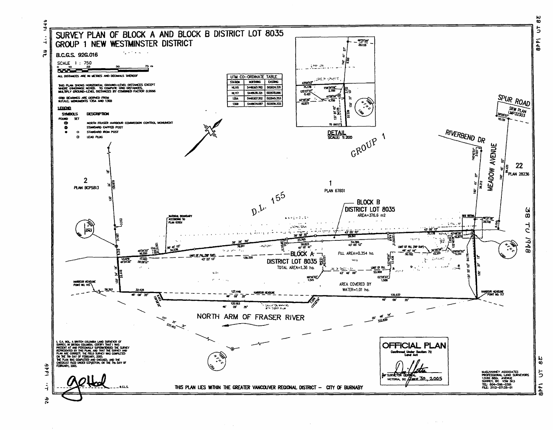

1948 **Sec** 

 $\overline{5}$